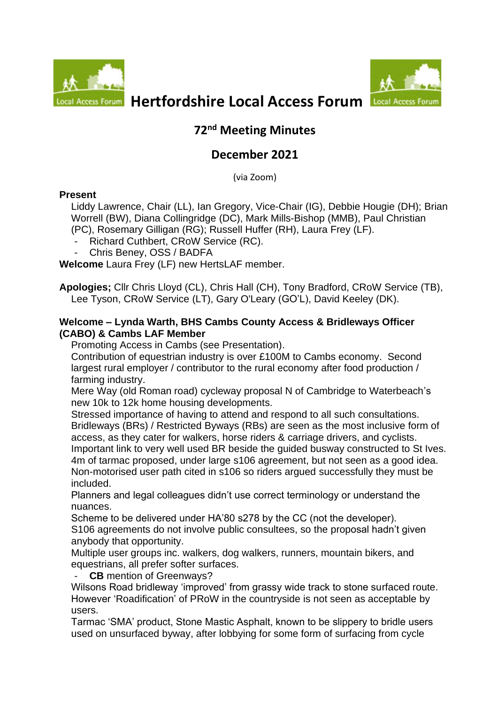



# *<b>Access Forum* Hertfordshire Local Access Forum

# **72 nd Meeting Minutes**

# **December 2021**

(via Zoom)

### **Present**

Liddy Lawrence, Chair (LL), Ian Gregory, Vice-Chair (IG), Debbie Hougie (DH); Brian Worrell (BW), Diana Collingridge (DC), Mark Mills-Bishop (MMB), Paul Christian (PC), Rosemary Gilligan (RG); Russell Huffer (RH), Laura Frey (LF).

- Richard Cuthbert, CRoW Service (RC).
- Chris Beney, OSS / BADFA

**Welcome** Laura Frey (LF) new HertsLAF member.

**Apologies;** Cllr Chris Lloyd (CL), Chris Hall (CH), Tony Bradford, CRoW Service (TB), Lee Tyson, CRoW Service (LT), Gary O'Leary (GO'L), David Keeley (DK).

### **Welcome – Lynda Warth, BHS Cambs County Access & Bridleways Officer (CABO) & Cambs LAF Member**

Promoting Access in Cambs (see Presentation).

Contribution of equestrian industry is over £100M to Cambs economy. Second largest rural employer / contributor to the rural economy after food production / farming industry.

Mere Way (old Roman road) cycleway proposal N of Cambridge to Waterbeach's new 10k to 12k home housing developments.

Stressed importance of having to attend and respond to all such consultations. Bridleways (BRs) / Restricted Byways (RBs) are seen as the most inclusive form of access, as they cater for walkers, horse riders & carriage drivers, and cyclists. Important link to very well used BR beside the guided busway constructed to St Ives. 4m of tarmac proposed, under large s106 agreement, but not seen as a good idea. Non-motorised user path cited in s106 so riders argued successfully they must be included.

Planners and legal colleagues didn't use correct terminology or understand the nuances.

Scheme to be delivered under HA'80 s278 by the CC (not the developer). S106 agreements do not involve public consultees, so the proposal hadn't given anybody that opportunity.

Multiple user groups inc. walkers, dog walkers, runners, mountain bikers, and equestrians, all prefer softer surfaces.

**CB** mention of Greenways?

Wilsons Road bridleway 'improved' from grassy wide track to stone surfaced route. However 'Roadification' of PRoW in the countryside is not seen as acceptable by users.

Tarmac 'SMA' product, Stone Mastic Asphalt, known to be slippery to bridle users used on unsurfaced byway, after lobbying for some form of surfacing from cycle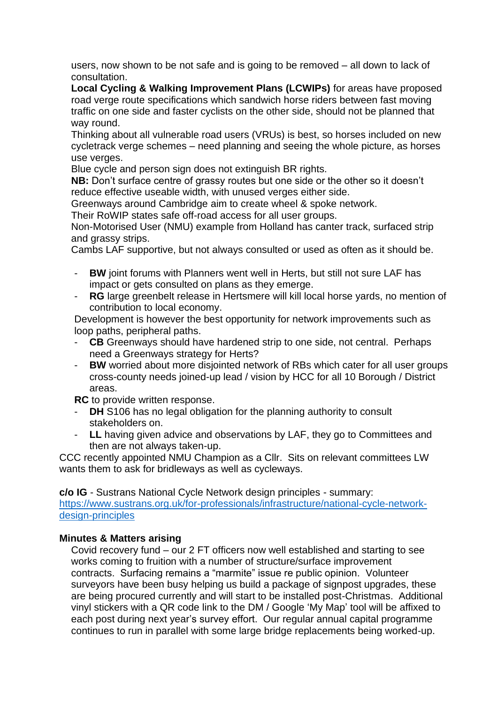users, now shown to be not safe and is going to be removed – all down to lack of consultation.

**Local Cycling & Walking Improvement Plans (LCWIPs)** for areas have proposed road verge route specifications which sandwich horse riders between fast moving traffic on one side and faster cyclists on the other side, should not be planned that way round.

Thinking about all vulnerable road users (VRUs) is best, so horses included on new cycletrack verge schemes – need planning and seeing the whole picture, as horses use verges.

Blue cycle and person sign does not extinguish BR rights.

**NB:** Don't surface centre of grassy routes but one side or the other so it doesn't reduce effective useable width, with unused verges either side.

Greenways around Cambridge aim to create wheel & spoke network.

Their RoWIP states safe off-road access for all user groups.

Non-Motorised User (NMU) example from Holland has canter track, surfaced strip and grassy strips.

Cambs LAF supportive, but not always consulted or used as often as it should be.

- **BW** joint forums with Planners went well in Herts, but still not sure LAF has impact or gets consulted on plans as they emerge.
- **RG** large greenbelt release in Hertsmere will kill local horse yards, no mention of contribution to local economy.

Development is however the best opportunity for network improvements such as loop paths, peripheral paths.

- **CB** Greenways should have hardened strip to one side, not central. Perhaps need a Greenways strategy for Herts?
- **BW** worried about more disjointed network of RBs which cater for all user groups cross-county needs joined-up lead / vision by HCC for all 10 Borough / District areas.

**RC** to provide written response.

- **DH** S106 has no legal obligation for the planning authority to consult stakeholders on.
- **LL** having given advice and observations by LAF, they go to Committees and then are not always taken-up.

CCC recently appointed NMU Champion as a Cllr. Sits on relevant committees LW wants them to ask for bridleways as well as cycleways.

**c/o IG** - Sustrans National Cycle Network design principles - summary:

[https://www.sustrans.org.uk/for-professionals/infrastructure/national-cycle-network](https://www.sustrans.org.uk/for-professionals/infrastructure/national-cycle-network-design-principles)[design-principles](https://www.sustrans.org.uk/for-professionals/infrastructure/national-cycle-network-design-principles)

# **Minutes & Matters arising**

Covid recovery fund – our 2 FT officers now well established and starting to see works coming to fruition with a number of structure/surface improvement contracts. Surfacing remains a "marmite" issue re public opinion. Volunteer surveyors have been busy helping us build a package of signpost upgrades, these are being procured currently and will start to be installed post-Christmas. Additional vinyl stickers with a QR code link to the DM / Google 'My Map' tool will be affixed to each post during next year's survey effort. Our regular annual capital programme continues to run in parallel with some large bridge replacements being worked-up.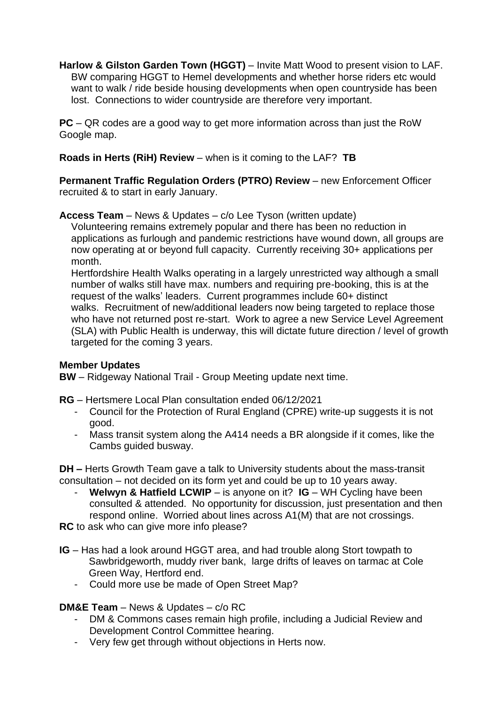**Harlow & Gilston Garden Town (HGGT)** – Invite Matt Wood to present vision to LAF. BW comparing HGGT to Hemel developments and whether horse riders etc would want to walk / ride beside housing developments when open countryside has been lost. Connections to wider countryside are therefore very important.

**PC** – QR codes are a good way to get more information across than just the RoW Google map.

**Roads in Herts (RiH) Review** – when is it coming to the LAF? **TB**

**Permanent Traffic Regulation Orders (PTRO) Review** – new Enforcement Officer recruited & to start in early January.

### **Access Team** – News & Updates – c/o Lee Tyson (written update)

Volunteering remains extremely popular and there has been no reduction in applications as furlough and pandemic restrictions have wound down, all groups are now operating at or beyond full capacity. Currently receiving 30+ applications per month.

Hertfordshire Health Walks operating in a largely unrestricted way although a small number of walks still have max. numbers and requiring pre-booking, this is at the request of the walks' leaders. Current programmes include 60+ distinct walks. Recruitment of new/additional leaders now being targeted to replace those who have not returned post re-start. Work to agree a new Service Level Agreement (SLA) with Public Health is underway, this will dictate future direction / level of growth targeted for the coming 3 years.

#### **Member Updates**

**BW** – Ridgeway National Trail - Group Meeting update next time.

**RG** – Hertsmere Local Plan consultation ended 06/12/2021

- Council for the Protection of Rural England (CPRE) write-up suggests it is not good.
- Mass transit system along the A414 needs a BR alongside if it comes, like the Cambs guided busway.

**DH –** Herts Growth Team gave a talk to University students about the mass-transit consultation – not decided on its form yet and could be up to 10 years away.

- **Welwyn & Hatfield LCWIP** – is anyone on it? **IG** – WH Cycling have been consulted & attended. No opportunity for discussion, just presentation and then respond online. Worried about lines across A1(M) that are not crossings.

**RC** to ask who can give more info please?

- **IG** Has had a look around HGGT area, and had trouble along Stort towpath to Sawbridgeworth, muddy river bank, large drifts of leaves on tarmac at Cole Green Way, Hertford end.
	- Could more use be made of Open Street Map?

# **DM&E Team** – News & Updates – c/o RC

- DM & Commons cases remain high profile, including a Judicial Review and Development Control Committee hearing.
- Very few get through without objections in Herts now.